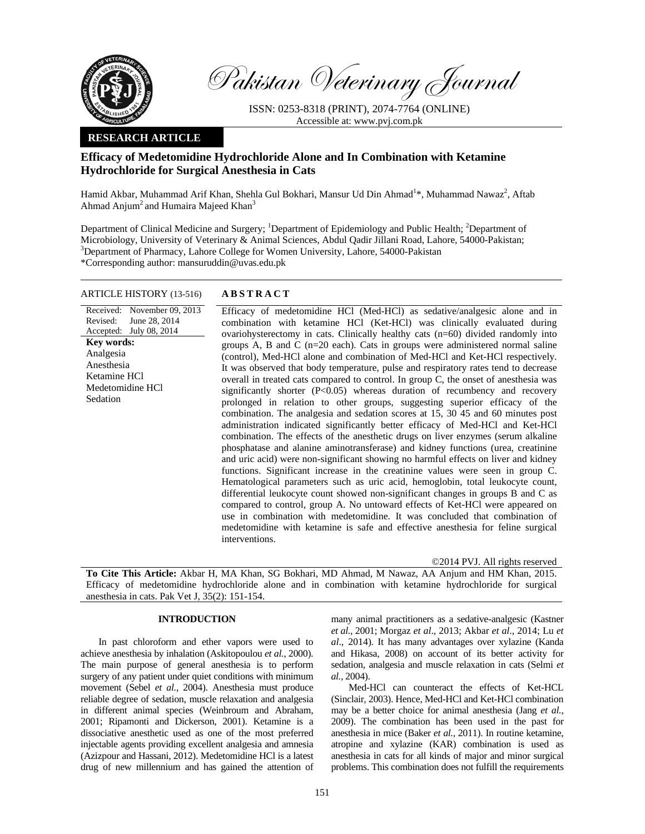

Pakistan Veterinary Journal

ISSN: 0253-8318 (PRINT), 2074-7764 (ONLINE) Accessible at: www.pvj.com.pk

## **RESEARCH ARTICLE**

# **Efficacy of Medetomidine Hydrochloride Alone and In Combination with Ketamine Hydrochloride for Surgical Anesthesia in Cats**

Hamid Akbar, Muhammad Arif Khan, Shehla Gul Bokhari, Mansur Ud Din Ahmad<sup>1</sup>\*, Muhammad Nawaz<sup>2</sup>, Aftab Ahmad Anjum<sup>2</sup> and Humaira Majeed Khan<sup>3</sup>

Department of Clinical Medicine and Surgery; <sup>1</sup>Department of Epidemiology and Public Health; <sup>2</sup>Department of Microbiology, University of Veterinary & Animal Sciences, Abdul Qadir Jillani Road, Lahore, 54000-Pakistan; 3 <sup>3</sup>Department of Pharmacy, Lahore College for Women University, Lahore, 54000-Pakistan \*Corresponding author: mansuruddin@uvas.edu.pk

## ARTICLE HISTORY (13-516) **ABSTRACT**

Received: November 09, 2013 Revised: Accepted: July 08, 2014 June 28, 2014 **Key words:**  Analgesia Anesthesia Ketamine HCl Medetomidine HCl Sedation

 Efficacy of medetomidine HCl (Med-HCl) as sedative/analgesic alone and in combination with ketamine HCl (Ket-HCl) was clinically evaluated during ovariohysterectomy in cats. Clinically healthy cats (n=60) divided randomly into groups A, B and C (n=20 each). Cats in groups were administered normal saline (control), Med-HCl alone and combination of Med-HCl and Ket-HCl respectively. It was observed that body temperature, pulse and respiratory rates tend to decrease overall in treated cats compared to control. In group C, the onset of anesthesia was significantly shorter (P<0.05) whereas duration of recumbency and recovery prolonged in relation to other groups, suggesting superior efficacy of the combination. The analgesia and sedation scores at 15, 30 45 and 60 minutes post administration indicated significantly better efficacy of Med-HCl and Ket-HCl combination. The effects of the anesthetic drugs on liver enzymes (serum alkaline phosphatase and alanine aminotransferase) and kidney functions (urea, creatinine and uric acid) were non-significant showing no harmful effects on liver and kidney functions. Significant increase in the creatinine values were seen in group C. Hematological parameters such as uric acid, hemoglobin, total leukocyte count, differential leukocyte count showed non-significant changes in groups B and C as compared to control, group A. No untoward effects of Ket-HCl were appeared on use in combination with medetomidine. It was concluded that combination of medetomidine with ketamine is safe and effective anesthesia for feline surgical interventions.

©2014 PVJ. All rights reserved

**To Cite This Article:** Akbar H, MA Khan, SG Bokhari, MD Ahmad, M Nawaz, AA Anjum and HM Khan, 2015. Efficacy of medetomidine hydrochloride alone and in combination with ketamine hydrochloride for surgical anesthesia in cats. Pak Vet J, 35(2): 151-154.

## **INTRODUCTION**

In past chloroform and ether vapors were used to achieve anesthesia by inhalation (Askitopoulou *et al.,* 2000). The main purpose of general anesthesia is to perform surgery of any patient under quiet conditions with minimum movement (Sebel *et al.*, 2004). Anesthesia must produce reliable degree of sedation, muscle relaxation and analgesia in different animal species (Weinbroum and Abraham, 2001; Ripamonti and Dickerson*,* 2001). Ketamine is a dissociative anesthetic used as one of the most preferred injectable agents providing excellent analgesia and amnesia (Azizpour and Hassani, 2012). Medetomidine HCl is a latest drug of new millennium and has gained the attention of many animal practitioners as a sedative-analgesic (Kastner *et al.,* 2001; Morgaz *et al*., 2013; Akbar *et al*., 2014; Lu *et al*., 2014). It has many advantages over xylazine (Kanda and Hikasa, 2008) on account of its better activity for sedation, analgesia and muscle relaxation in cats (Selmi *et al.,* 2004).

Med-HCl can counteract the effects of Ket-HCL (Sinclair, 2003). Hence, Med-HCl and Ket-HCl combination may be a better choice for animal anesthesia (Jang *et al.,* 2009). The combination has been used in the past for anesthesia in mice (Baker *et al.,* 2011). In routine ketamine, atropine and xylazine (KAR) combination is used as anesthesia in cats for all kinds of major and minor surgical problems. This combination does not fulfill the requirements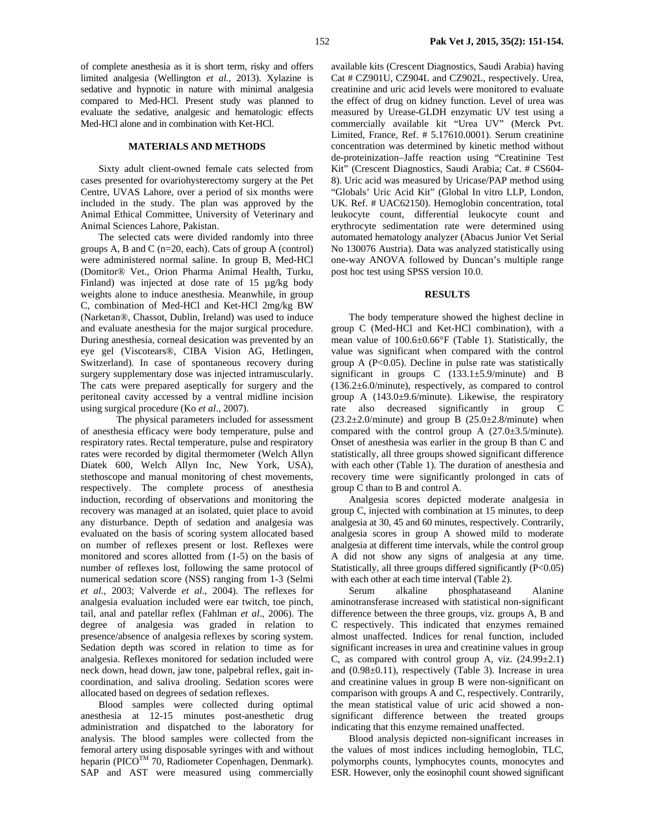of complete anesthesia as it is short term, risky and offers limited analgesia (Wellington *et al.,* 2013). Xylazine is sedative and hypnotic in nature with minimal analgesia compared to Med-HCl. Present study was planned to evaluate the sedative, analgesic and hematologic effects Med-HCl alone and in combination with Ket-HCl.

#### **MATERIALS AND METHODS**

Sixty adult client-owned female cats selected from cases presented for ovariohysterectomy surgery at the Pet Centre, UVAS Lahore, over a period of six months were included in the study. The plan was approved by the Animal Ethical Committee, University of Veterinary and Animal Sciences Lahore, Pakistan.

The selected cats were divided randomly into three groups A, B and C (n=20, each). Cats of group A (control) were administered normal saline. In group B, Med-HCl (Domitor® Vet., Orion Pharma Animal Health, Turku, Finland) was injected at dose rate of 15 µg/kg body weights alone to induce anesthesia. Meanwhile, in group C, combination of Med-HCl and Ket-HCl 2mg/kg BW (Narketan®, Chassot, Dublin, Ireland) was used to induce and evaluate anesthesia for the major surgical procedure. During anesthesia, corneal desication was prevented by an eye gel (Viscotears®, CIBA Vision AG, Hetlingen, Switzerland). In case of spontaneous recovery during surgery supplementary dose was injected intramuscularly. The cats were prepared aseptically for surgery and the peritoneal cavity accessed by a ventral midline incision using surgical procedure (Ko *et al*., 2007).

 The physical parameters included for assessment of anesthesia efficacy were body temperature, pulse and respiratory rates. Rectal temperature, pulse and respiratory rates were recorded by digital thermometer (Welch Allyn Diatek 600, Welch Allyn Inc, New York, USA), stethoscope and manual monitoring of chest movements, respectively. The complete process of anesthesia induction, recording of observations and monitoring the recovery was managed at an isolated, quiet place to avoid any disturbance. Depth of sedation and analgesia was evaluated on the basis of scoring system allocated based on number of reflexes present or lost. Reflexes were monitored and scores allotted from (1-5) on the basis of number of reflexes lost, following the same protocol of numerical sedation score (NSS) ranging from 1-3 (Selmi *et al.*, 2003; Valverde *et al.*, 2004). The reflexes for analgesia evaluation included were ear twitch, toe pinch, tail, anal and patellar reflex (Fahlman *et al*., 2006). The degree of analgesia was graded in relation to presence/absence of analgesia reflexes by scoring system. Sedation depth was scored in relation to time as for analgesia. Reflexes monitored for sedation included were neck down, head down, jaw tone, palpebral reflex, gait incoordination, and saliva drooling. Sedation scores were allocated based on degrees of sedation reflexes.

Blood samples were collected during optimal anesthesia at 12-15 minutes post-anesthetic drug administration and dispatched to the laboratory for analysis. The blood samples were collected from the femoral artery using disposable syringes with and without heparin (PICO<sup>TM</sup> 70, Radiometer Copenhagen, Denmark). SAP and AST were measured using commercially

available kits (Crescent Diagnostics, Saudi Arabia) having Cat # CZ901U, CZ904L and CZ902L, respectively. Urea, creatinine and uric acid levels were monitored to evaluate the effect of drug on kidney function. Level of urea was measured by Urease-GLDH enzymatic UV test using a commercially available kit "Urea UV" (Merck Pvt. Limited, France, Ref. # 5.17610.0001). Serum creatinine concentration was determined by kinetic method without de-proteinization–Jaffe reaction using "Creatinine Test Kit" (Crescent Diagnostics, Saudi Arabia; Cat. # CS604- 8). Uric acid was measured by Uricase/PAP method using "Globals' Uric Acid Kit" (Global In vitro LLP, London, UK. Ref. # UAC62150). Hemoglobin concentration, total leukocyte count, differential leukocyte count and erythrocyte sedimentation rate were determined using automated hematology analyzer (Abacus Junior Vet Serial No 130076 Austria). Data was analyzed statistically using one-way ANOVA followed by Duncan's multiple range post hoc test using SPSS version 10.0.

## **RESULTS**

The body temperature showed the highest decline in group C (Med-HCl and Ket-HCl combination), with a mean value of 100.6±0.66°F (Table 1). Statistically, the value was significant when compared with the control group A  $(P<0.05)$ . Decline in pulse rate was statistically significant in groups C  $(133.1 \pm 5.9/\text{minute})$  and B (136.2±6.0/minute), respectively, as compared to control group A  $(143.0\pm9.6/\text{minute})$ . Likewise, the respiratory rate also decreased significantly in group C  $(23.2\pm2.0/\text{minute})$  and group B  $(25.0\pm2.8/\text{minute})$  when compared with the control group A  $(27.0\pm3.5/\text{minute})$ . Onset of anesthesia was earlier in the group B than C and statistically, all three groups showed significant difference with each other (Table 1). The duration of anesthesia and recovery time were significantly prolonged in cats of group C than to B and control A.

Analgesia scores depicted moderate analgesia in group C, injected with combination at 15 minutes, to deep analgesia at 30, 45 and 60 minutes, respectively. Contrarily, analgesia scores in group A showed mild to moderate analgesia at different time intervals, while the control group A did not show any signs of analgesia at any time. Statistically, all three groups differed significantly (P<0.05) with each other at each time interval (Table 2).

Serum alkaline phosphataseand Alanine aminotransferase increased with statistical non-significant difference between the three groups, viz. groups A, B and C respectively. This indicated that enzymes remained almost unaffected. Indices for renal function, included significant increases in urea and creatinine values in group C, as compared with control group A, viz.  $(24.99 \pm 2.1)$ and (0.98±0.11), respectively (Table 3). Increase in urea and creatinine values in group B were non-significant on comparison with groups A and C, respectively. Contrarily, the mean statistical value of uric acid showed a nonsignificant difference between the treated groups indicating that this enzyme remained unaffected.

Blood analysis depicted non-significant increases in the values of most indices including hemoglobin, TLC, polymorphs counts, lymphocytes counts, monocytes and ESR. However, only the eosinophil count showed significant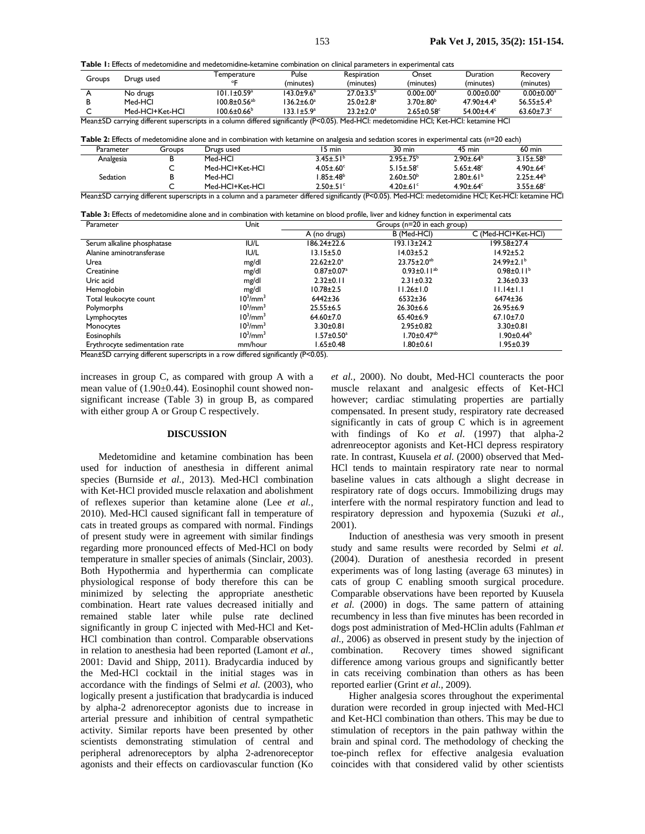**Table 1:** Effects of medetomidine and medetomidine-ketamine combination on clinical parameters in experimental cats

| Groups | Drugs used      | l emperature                   | Pulse                  | Respiration                 | Onset                        | Duration                     | Recovery                     |
|--------|-----------------|--------------------------------|------------------------|-----------------------------|------------------------------|------------------------------|------------------------------|
|        |                 |                                | (minutes)              | (minutes)                   | (minutes)                    | (minutes)                    | (minutes)                    |
|        | No drugs        | 101.1±0.59ª                    | 143.0±9.6 <sup>b</sup> | $27.0 \pm 3.5^{\circ}$      | $0.00 \pm 0.00$ <sup>a</sup> | $0.00 \pm 0.00$ <sup>a</sup> | $0.00 + 0.00^3$              |
|        | Med-HCl         | $100.8 \pm 0.56$ <sup>ab</sup> | $136.2 \pm 6.0^a$      | $25.0 \pm 2.8$ <sup>a</sup> | $3.70 \pm .80^{\circ}$       | $47.90 \pm 4.4^b$            | 56.55+5.4 <sup>b</sup>       |
|        | Med-HCI+Ket-HCI | $100.6 \pm 0.66^{\circ}$       | $133.1 + 5.9a$         | $23.2 \pm 2.0^a$            | $2.65 + 0.58$ <sup>c</sup>   | 54.00 $\pm$ 4.4 $\rm{c}$     | $63.60 \pm 7.3$ <sup>c</sup> |
| $-$    | 1.00            | 1.00                           |                        | $\cdots$                    | $\overline{a}$               | .                            |                              |

Mean±SD carrying different superscripts in a column differed significantly (P<0.05). Med-HCl: medetomidine HCl; Ket-HCl: ketamine HCl

|           |        |            | Table 2: Effects of medetomidine alone and in combination with ketamine on analgesia and sedation scores in experimental cats (n=20 each) |        |        |                  |
|-----------|--------|------------|-------------------------------------------------------------------------------------------------------------------------------------------|--------|--------|------------------|
| Parameter | Groups | Drugs used | 5 min                                                                                                                                     | 30 min | 45 min | $60 \text{ min}$ |

| Parameter                                                                                                                                             | uroups | Drugs used      | mın دı                      | 30 min                      | min כ <del>ו</del>          | <b>bu</b> min               |  |
|-------------------------------------------------------------------------------------------------------------------------------------------------------|--------|-----------------|-----------------------------|-----------------------------|-----------------------------|-----------------------------|--|
| Analgesia                                                                                                                                             |        | Med-HCI         | $3.45 \pm .51$ <sup>b</sup> | $2.95 \pm .75^{b}$          | $2.90 \pm 64^b$             | $3.15 \pm .58$ <sup>b</sup> |  |
|                                                                                                                                                       | ֊      | Med-HCl+Ket-HCl | $4.05 \pm .60$ <sup>c</sup> | $5.15 \pm .58$ <sup>c</sup> | $5.65 \pm .48$ <sup>c</sup> | $4.90 \pm 64$ <sup>c</sup>  |  |
| <b>Sedation</b>                                                                                                                                       |        | Med-HCI         | $.85 \pm .48^b$             | $2.60 \pm .50^{\circ}$      | $2.80 \pm .61^{b}$          | $2.25 + 44b$                |  |
|                                                                                                                                                       |        | Med-HCl+Ket-HCl | $2.50 \pm .51$ °            | $4.20 \pm .61$ °            | $4.90 + 64$                 | $3.55 \pm .68$ <sup>c</sup> |  |
| Mean±SD carrying different superscripts in a column and a parameter differed significantly (P<0.05). Med-HCl: medetomidine HCl; Ket-HCl: ketamine HCl |        |                 |                             |                             |                             |                             |  |

| Table 3: Effects of medetomidine alone and in combination with ketamine on blood profile, liver and kidney function in experimental cats |  |                                                  |
|------------------------------------------------------------------------------------------------------------------------------------------|--|--------------------------------------------------|
| $D_{2}$ and an $D_{3}$                                                                                                                   |  | $C_{\text{max}} = (a - 20 \text{ in each case})$ |

| Parameter<br>Unit              |                                  | Groups ( $n = 20$ in each group) |                               |                              |  |  |
|--------------------------------|----------------------------------|----------------------------------|-------------------------------|------------------------------|--|--|
|                                |                                  | A (no drugs)                     | B (Med-HCI)                   | C (Med-HCI+Ket-HCI)          |  |  |
| Serum alkaline phosphatase     | IU/L                             | 186.24±22.6                      | 193.13±24.2                   | 199.58±27.4                  |  |  |
| Alanine aminotransferase       | IU/L                             | $13.15 \pm 5.0$                  | $14.03 \pm 5.2$               | $14.92 \pm 5.2$              |  |  |
| Urea                           | mg/dl                            | $22.62 \pm 2.0^a$                | $23.75 \pm 2.0^{ab}$          | $24.99 \pm 2.1^b$            |  |  |
| Creatinine                     | mg/dl                            | $0.87 \pm 0.07^{\text{a}}$       | $0.93 \pm 0.11^{ab}$          | $0.98 \pm 0.11$ <sup>b</sup> |  |  |
| Uric acid                      | mg/dl                            | $2.32 \pm 0.11$                  | $2.31 \pm 0.32$               | $2.36 \pm 0.33$              |  |  |
| Hemoglobin                     | mg/dl                            | $10.78 \pm 2.5$                  | $11.26 \pm 1.0$               | $11.14 \pm 1.1$              |  |  |
| Total leukocyte count          | 10 <sup>3</sup> /mm <sup>3</sup> | $6442 \pm 36$                    | $6532 \pm 36$                 | 6474±36                      |  |  |
| Polymorphs                     | 10 <sup>3</sup> /mm <sup>3</sup> | $25.55 \pm 6.5$                  | $26.30 \pm 6.6$               | $26.95 \pm 6.9$              |  |  |
| Lymphocytes                    | 10 <sup>3</sup> /mm <sup>3</sup> | $64.60 \pm 7.0$                  | $65.40 \pm 6.9$               | $67.10 \pm 7.0$              |  |  |
| Monocytes                      | 10 <sup>3</sup> /mm <sup>3</sup> | $3.30 \pm 0.81$                  | $2.95 \pm 0.82$               | $3.30 \pm 0.81$              |  |  |
| Eosinophils                    | 10 <sup>3</sup> /mm <sup>3</sup> | $1.57 \pm 0.50^a$                | $1.70 \pm 0.47$ <sup>ab</sup> | 1.90±0.44 <sup>b</sup>       |  |  |
| Erythrocyte sedimentation rate | mm/hour                          | I.65±0.48                        | $.80 \pm 0.61$                | $1.95 \pm 0.39$              |  |  |

Mean±SD carrying different superscripts in a row differed significantly (P<0.05).

increases in group C, as compared with group A with a mean value of (1.90±0.44). Eosinophil count showed nonsignificant increase (Table 3) in group B, as compared with either group A or Group C respectively.

#### **DISCUSSION**

Medetomidine and ketamine combination has been used for induction of anesthesia in different animal species (Burnside *et al.,* 2013). Med-HCl combination with Ket-HCl provided muscle relaxation and abolishment of reflexes superior than ketamine alone (Lee *et al.,* 2010). Med-HCl caused significant fall in temperature of cats in treated groups as compared with normal. Findings of present study were in agreement with similar findings regarding more pronounced effects of Med-HCl on body temperature in smaller species of animals (Sinclair, 2003). Both Hypothermia and hyperthermia can complicate physiological response of body therefore this can be minimized by selecting the appropriate anesthetic combination. Heart rate values decreased initially and remained stable later while pulse rate declined significantly in group C injected with Med-HCl and Ket-HCl combination than control. Comparable observations in relation to anesthesia had been reported (Lamont *et al.,* 2001: David and Shipp, 2011). Bradycardia induced by the Med-HCl cocktail in the initial stages was in accordance with the findings of Selmi *et al.* (2003), who logically present a justification that bradycardia is induced by alpha-2 adrenoreceptor agonists due to increase in arterial pressure and inhibition of central sympathetic activity. Similar reports have been presented by other scientists demonstrating stimulation of central and peripheral adrenoreceptors by alpha 2-adrenoreceptor agonists and their effects on cardiovascular function (Ko

*et al.,* 2000). No doubt, Med-HCl counteracts the poor muscle relaxant and analgesic effects of Ket-HCl however; cardiac stimulating properties are partially compensated. In present study, respiratory rate decreased significantly in cats of group C which is in agreement with findings of Ko *et al.* (1997) that alpha-2 adrenreoceptor agonists and Ket-HCl depress respiratory rate. In contrast, Kuusela *et al.* (2000) observed that Med-HCl tends to maintain respiratory rate near to normal baseline values in cats although a slight decrease in respiratory rate of dogs occurs. Immobilizing drugs may interfere with the normal respiratory function and lead to respiratory depression and hypoxemia (Suzuki *et al.,* 2001).

Induction of anesthesia was very smooth in present study and same results were recorded by Selmi *et al.* (2004). Duration of anesthesia recorded in present experiments was of long lasting (average 63 minutes) in cats of group C enabling smooth surgical procedure. Comparable observations have been reported by Kuusela *et al.* (2000) in dogs. The same pattern of attaining recumbency in less than five minutes has been recorded in dogs post administration of Med-HClin adults (Fahlman *et al.,* 2006) as observed in present study by the injection of combination. Recovery times showed significant difference among various groups and significantly better in cats receiving combination than others as has been reported earlier (Grint *et al.,* 2009).

Higher analgesia scores throughout the experimental duration were recorded in group injected with Med-HCl and Ket-HCl combination than others. This may be due to stimulation of receptors in the pain pathway within the brain and spinal cord. The methodology of checking the toe-pinch reflex for effective analgesia evaluation coincides with that considered valid by other scientists